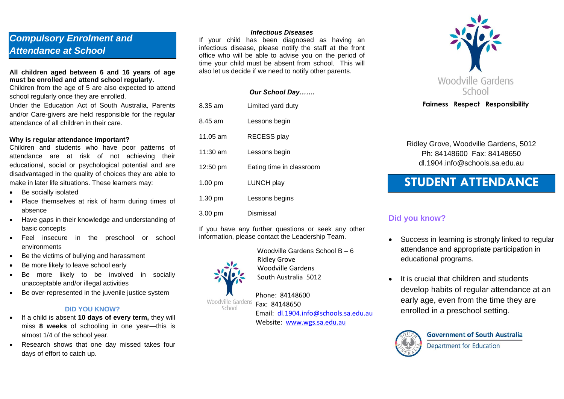# *Compulsory Enrolment and Attendance at School*

### **All children aged between 6 and 16 years of age must be enrolled and attend school regularly.**

Children from the age of 5 are also expected to attend school regularly once they are enrolled.

Under the Education Act of South Australia, Parents and/or Care-givers are held responsible for the regular attendance of all children in their care.

#### **Why is regular attendance important?**

Children and students who have poor patterns of attendance are at risk of not achieving their educational, social or psychological potential and are disadvantaged in the quality of choices they are able to make in later life situations. These learners may:

- Be socially isolated
- Place themselves at risk of harm during times of absence
- Have gaps in their knowledge and understanding of basic concepts
- Feel insecure in the preschool or school environments
- Be the victims of bullying and harassment
- Be more likely to leave school early
- Be more likely to be involved in socially unacceptable and/or illegal activities
- Be over-represented in the juvenile justice system

### **DID YOU KNOW?**

- If a child is absent **10 days of every term,** they will miss **8 weeks** of schooling in one year—this is almost 1/4 of the school year.
- Research shows that one day missed takes four days of effort to catch up.

#### *Infectious Diseases*

If your child has been diagnosed as having an infectious disease, please notify the staff at the front office who will be able to advise you on the period of time your child must be absent from school. This will also let us decide if we need to notify other parents.

|            | <b>Our School Day</b>    |
|------------|--------------------------|
| 8.35 am    | Limited yard duty        |
| 8.45 am    | Lessons begin            |
| $11.05$ am | <b>RECESS play</b>       |
| $11:30$ am | Lessons begin            |
| 12:50 pm   | Eating time in classroom |
| $1.00$ pm  | <b>LUNCH play</b>        |
| 1.30 pm    | Lessons begins           |
| 3.00 pm    | Dismissal                |

If you have any further questions or seek any other information, please contact the Leadership Team.

> Woodville Gardens School B – 6 Ridley Grove Woodville Gardens South Australia 5012

**Phone: 84148600**<br>Woodville Gardens **Fax: 84148650**  Fax: 84148650 Email: dl.1904.info@schools.sa.edu.au Website: [www.wgs.sa.edu.au](http://www.wgs.sa.edu.au/)



### **Fairness Respect Responsibility**

Ridley Grove, Woodville Gardens, 5012 Ph: 84148600 Fax: 84148650 dl.1904.info@schools.sa.edu.au

# **STUDENT ATTENDANCE**

### **Did you know?**

- Success in learning is strongly linked to regular attendance and appropriate participation in educational programs.
- It is crucial that children and students develop habits of regular attendance at an early age, even from the time they are enrolled in a preschool setting.



**Government of South Australia Department for Education** 



School